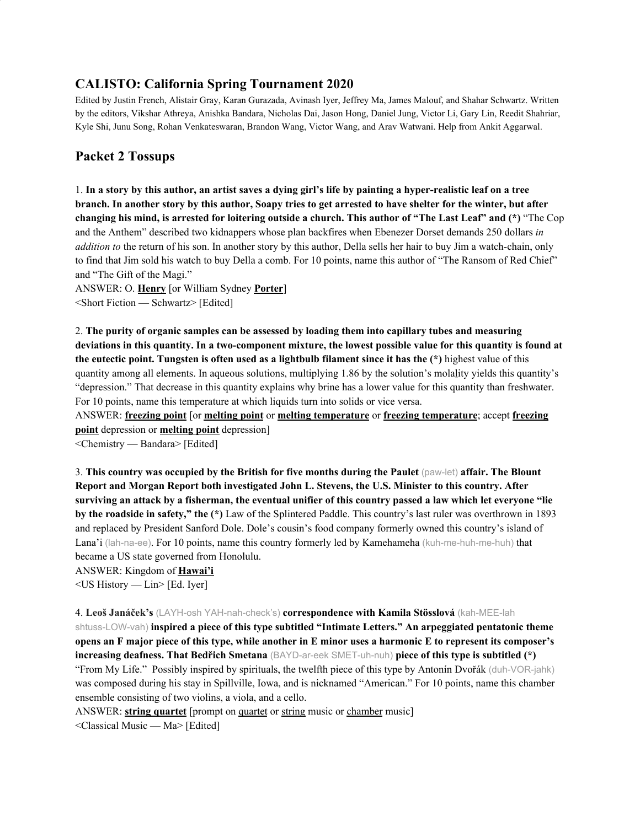## **CALISTO: California Spring Tournament 2020**

Edited by Justin French, Alistair Gray, Karan Gurazada, Avinash Iyer, Jeffrey Ma, James Malouf, and Shahar Schwartz. Written by the editors, Vikshar Athreya, Anishka Bandara, Nicholas Dai, Jason Hong, Daniel Jung, Victor Li, Gary Lin, Reedit Shahriar, Kyle Shi, Junu Song, Rohan Venkateswaran, Brandon Wang, Victor Wang, and Arav Watwani. Help from Ankit Aggarwal.

# **Packet 2 Tossups**

1. In a story by this author, an artist saves a dying girl's life by painting a hyper-realistic leaf on a tree branch. In another story by this author, Soapy tries to get arrested to have shelter for the winter, but after changing his mind, is arrested for loitering outside a church. This author of "The Last Leaf" and (\*) "The Cop and the Anthem" described two kidnappers whose plan backfires when Ebenezer Dorset demands 250 dollars *in addition to* the return of his son. In another story by this author, Della sells her hair to buy Jim a watch-chain, only to find that Jim sold his watch to buy Della a comb. For 10 points, name this author of "The Ransom of Red Chief" and "The Gift of the Magi."

ANSWER: O. **Henry** [or William Sydney **Porter**] <Short Fiction — Schwartz> [Edited]

2. **The purity of organic samples can be assessed by loading them into capillary tubes and measuring** deviations in this quantity. In a two-component mixture, the lowest possible value for this quantity is found at **the eutectic point. Tungsten is often used as a lightbulb filament since it has the (\*)** highest value of this quantity among all elements. In aqueous solutions, multiplying 1.86 by the solution's molality yields this quantity's "depression." That decrease in this quantity explains why brine has a lower value for this quantity than freshwater. For 10 points, name this temperature at which liquids turn into solids or vice versa.

ANSWER: **freezing point** [or **melting point** or **melting temperature** or **freezing temperature**; accept **freezing point** depression or **melting point** depression]

<Chemistry — Bandara> [Edited]

3. **This country was occupied by the British for five months during the Paulet** (paw-let) **affair. The Blount Report and Morgan Report both investigated John L. Stevens, the U.S. Minister to this country. After** surviving an attack by a fisherman, the eventual unifier of this country passed a law which let everyone "lie **by the roadside in safety," the (\*)** Law of the Splintered Paddle. This country's last ruler was overthrown in 1893 and replaced by President Sanford Dole. Dole's cousin's food company formerly owned this country's island of Lana'i (lah-na-ee). For 10 points, name this country formerly led by Kamehameha (kuh-me-huh-me-huh) that became a US state governed from Honolulu.

ANSWER: Kingdom of **Hawai'i**

<US History — Lin> [Ed. Iyer]

4. **Leoš Janáček's** (LAYH-osh YAH-nah-check's) **correspondence with Kamila Stösslová** (kah-MEE-lah shtuss-LOW-vah) **inspired a piece of this type subtitled "Intimate Letters." An arpeggiated pentatonic theme** opens an F major piece of this type, while another in E minor uses a harmonic E to represent its composer's **increasing deafness. That Bedřich Smetana** (BAYD-ar-eek SMET-uh-nuh) **piece of this type is subtitled (\*)** "From My Life." Possibly inspired by spirituals, the twelfth piece of this type by Antonín Dvořák (duh-VOR-jahk) was composed during his stay in Spillville, Iowa, and is nicknamed "American." For 10 points, name this chamber ensemble consisting of two violins, a viola, and a cello.

ANSWER: **string quartet** [prompt on quartet or string music or chamber music]

<Classical Music — Ma> [Edited]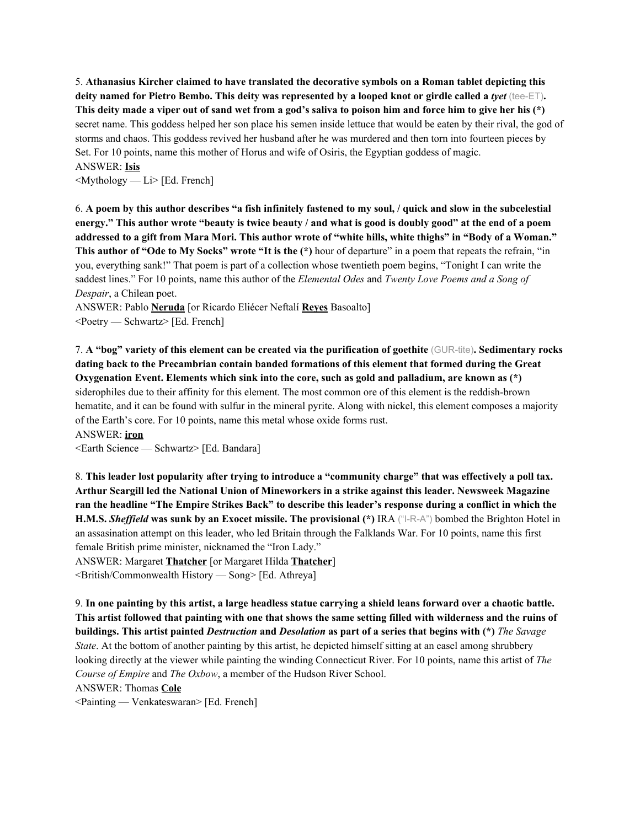5. **Athanasius Kircher claimed to have translated the decorative symbols on a Roman tablet depicting this** deity named for Pietro Bembo. This deity was represented by a looped knot or girdle called a tyet (tee-ET). This deity made a viper out of sand wet from a god's saliva to poison him and force him to give her his (\*) secret name. This goddess helped her son place his semen inside lettuce that would be eaten by their rival, the god of storms and chaos. This goddess revived her husband after he was murdered and then torn into fourteen pieces by Set. For 10 points, name this mother of Horus and wife of Osiris, the Egyptian goddess of magic. ANSWER: **Isis**

 $\leq M$ ythology — Li> [Ed. French]

6. A poem by this author describes "a fish infinitely fastened to my soul, / quick and slow in the subcelestial energy." This author wrote "beauty is twice beauty / and what is good is doubly good" at the end of a poem addressed to a gift from Mara Mori. This author wrote of "white hills, white thighs" in "Body of a Woman." **This author of "Ode to My Socks" wrote "It is the (\*)** hour of departure" in a poem that repeats the refrain, "in you, everything sank!" That poem is part of a collection whose twentieth poem begins, "Tonight I can write the saddest lines." For 10 points, name this author of the *Elemental Odes* and *Twenty Love Poems and a Song of Despair*, a Chilean poet.

ANSWER: Pablo **Neruda** [or Ricardo Eliécer Neftalí **Reyes** Basoalto] <Poetry — Schwartz> [Ed. French]

7. A "bog" variety of this element can be created via the purification of goethite (GUR-tite). Sedimentary rocks **dating back to the Precambrian contain banded formations of this element that formed during the Great Oxygenation Event. Elements which sink into the core, such as gold and palladium, are known as (\*)** siderophiles due to their affinity for this element. The most common ore of this element is the reddish-brown hematite, and it can be found with sulfur in the mineral pyrite. Along with nickel, this element composes a majority of the Earth's core. For 10 points, name this metal whose oxide forms rust.

ANSWER: **iron**

<Earth Science — Schwartz> [Ed. Bandara]

8. This leader lost popularity after trying to introduce a "community charge" that was effectively a poll tax. **Arthur Scargill led the National Union of Mineworkers in a strike against this leader. Newsweek Magazine** ran the headline "The Empire Strikes Back" to describe this leader's response during a conflict in which the **H.M.S.** *Sheffield* was sunk by an Exocet missile. The provisional (\*) IRA ("I-R-A") bombed the Brighton Hotel in an assasination attempt on this leader, who led Britain through the Falklands War. For 10 points, name this first female British prime minister, nicknamed the "Iron Lady."

ANSWER: Margaret **Thatcher** [or Margaret Hilda **Thatcher**]

<British/Commonwealth History — Song> [Ed. Athreya]

9. In one painting by this artist, a large headless statue carrying a shield leans forward over a chaotic battle. This artist followed that painting with one that shows the same setting filled with wilderness and the ruins of buildings. This artist painted *Destruction* and *Desolation* as part of a series that begins with (\*) The Savage *State*. At the bottom of another painting by this artist, he depicted himself sitting at an easel among shrubbery looking directly at the viewer while painting the winding Connecticut River. For 10 points, name this artist of *The Course of Empire* and *The Oxbow*, a member of the Hudson River School.

ANSWER: Thomas **Cole**

<Painting — Venkateswaran> [Ed. French]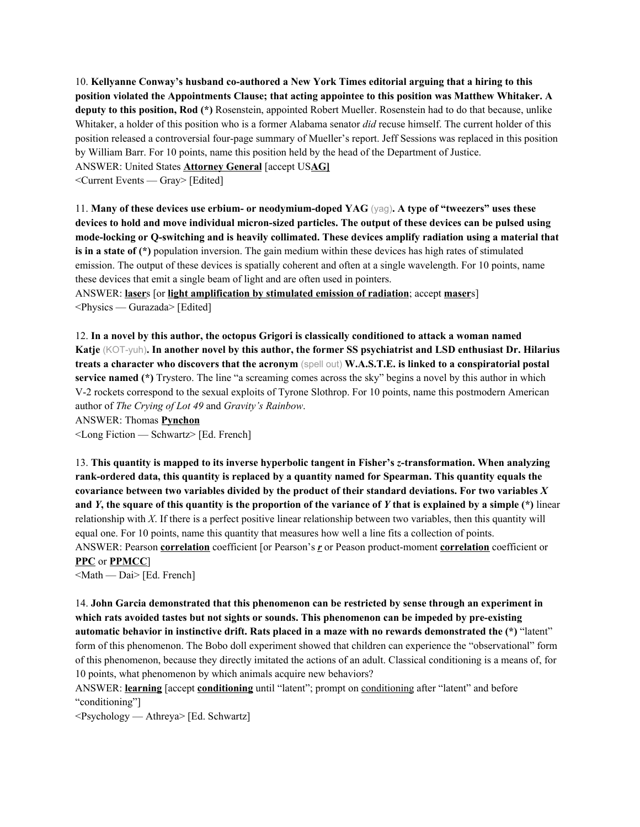10. **Kellyanne Conway's husband co-authored a New York Times editorial arguing that a hiring to this position violated the Appointments Clause; that acting appointee to this position was Matthew Whitaker. A deputy to this position, Rod (\*)** Rosenstein, appointed Robert Mueller. Rosenstein had to do that because, unlike Whitaker, a holder of this position who is a former Alabama senator *did* recuse himself. The current holder of this position released a controversial four-page summary of Mueller's report. Jeff Sessions was replaced in this position by William Barr. For 10 points, name this position held by the head of the Department of Justice. ANSWER: United States **Attorney General** [accept US**AG]**

<Current Events — Gray> [Edited]

11. **Many of these devices use erbium- or neodymium-doped YAG** (yag)**. A type of "tweezers" uses these** devices to hold and move individual micron-sized particles. The output of these devices can be pulsed using **mode-locking or Q-switching and is heavily collimated. These devices amplify radiation using a material that is in a state of (\*)** population inversion. The gain medium within these devices has high rates of stimulated emission. The output of these devices is spatially coherent and often at a single wavelength. For 10 points, name these devices that emit a single beam of light and are often used in pointers.

ANSWER: **laser**s [or **light amplification by stimulated emission of radiation**; accept **maser**s] <Physics — Gurazada> [Edited]

12. **In a novel by this author, the octopus Grigori is classically conditioned to attack a woman named** Katje (KOT-yuh). In another novel by this author, the former SS psychiatrist and LSD enthusiast Dr. Hilarius **treats a character who discovers that the acronym** (spell out) **W.A.S.T.E. is linked to a conspiratorial postal service named (\*)** Trystero. The line "a screaming comes across the sky" begins a novel by this author in which V-2 rockets correspond to the sexual exploits of Tyrone Slothrop. For 10 points, name this postmodern American author of *The Crying of Lot 49* and *Gravity's Rainbow*.

ANSWER: Thomas **Pynchon**

<Long Fiction — Schwartz> [Ed. French]

13. **This quantity is mapped to its inverse hyperbolic tangent in Fisher's** *z***-transformation. When analyzing rank-ordered data, this quantity is replaced by a quantity named for Spearman. This quantity equals the covariance between two variables divided by the product of their standard deviations. For two variables** *X* and Y, the square of this quantity is the proportion of the variance of Y that is explained by a simple  $(*)$  linear relationship with *X*. If there is a perfect positive linear relationship between two variables, then this quantity will equal one. For 10 points, name this quantity that measures how well a line fits a collection of points. ANSWER: Pearson **correlation** coefficient [or Pearson's *r* or Peason product-moment **correlation** coefficient or **PPC** or **PPMCC**]

<Math — Dai> [Ed. French]

14. **John Garcia demonstrated that this phenomenon can be restricted by sense through an experiment in which rats avoided tastes but not sights or sounds. This phenomenon can be impeded by pre-existing automatic behavior in instinctive drift. Rats placed in a maze with no rewards demonstrated the (\*)** "latent" form of this phenomenon. The Bobo doll experiment showed that children can experience the "observational" form of this phenomenon, because they directly imitated the actions of an adult. Classical conditioning is a means of, for 10 points, what phenomenon by which animals acquire new behaviors?

ANSWER: **learning** [accept **conditioning** until "latent"; prompt on conditioning after "latent" and before "conditioning"]

<Psychology — Athreya> [Ed. Schwartz]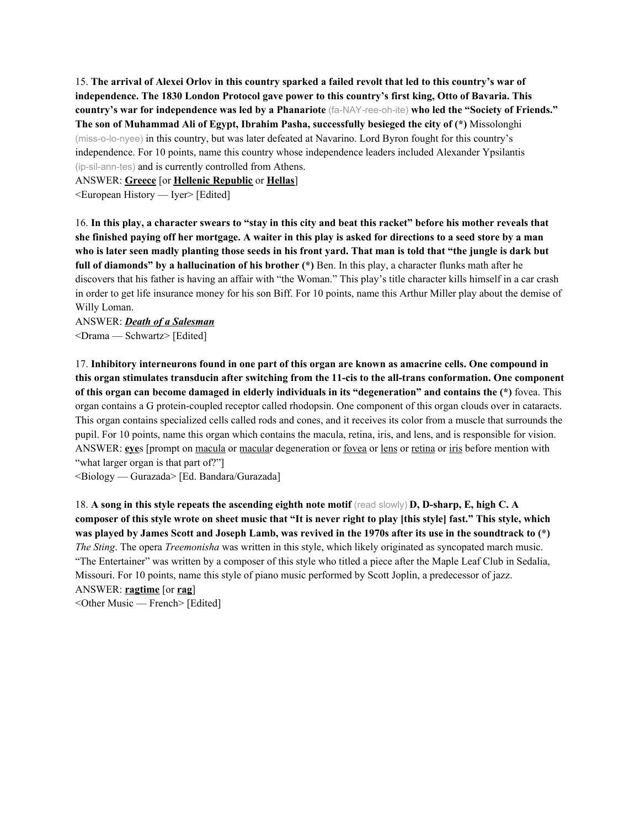15. The arrival of Alexei Orlov in this country sparked a failed revolt that led to this country's war of **independence. The 1830 London Protocol gave power to this country's first king, Otto of Bavaria. This country's war for independence was led by a Phanariote** (fa-NAY-ree-oh-ite) **who led the "Society of Friends." The son of Muhammad Ali of Egypt, Ibrahim Pasha, successfully besieged the city of (\*)** Missolonghi (miss-o-lo-nyee) in this country, but was later defeated at Navarino. Lord Byron fought for this country's independence. For 10 points, name this country whose independence leaders included Alexander Ypsilantis (ip-sil-ann-tes) and is currently controlled from Athens.

ANSWER: **Greece** [or **Hellenic Republic** or **Hellas**]

<European History — Iyer> [Edited]

16. In this play, a character swears to "stay in this city and beat this racket" before his mother reveals that she finished paying off her mortgage. A waiter in this play is asked for directions to a seed store by a man who is later seen madly planting those seeds in his front yard. That man is told that "the jungle is dark but **full of diamonds" by a hallucination of his brother (\*)** Ben. In this play, a character flunks math after he discovers that his father is having an affair with "the Woman." This play's title character kills himself in a car crash in order to get life insurance money for his son Biff. For 10 points, name this Arthur Miller play about the demise of Willy Loman.

ANSWER: *Death of a Salesman* <Drama — Schwartz> [Edited]

17. **Inhibitory interneurons found in one part of this organ are known as amacrine cells. One compound in this organ stimulates transducin after switching from the 11-cis to the all-trans conformation. One component of this organ can become damaged in elderly individuals in its "degeneration" and contains the (\*)** fovea. This organ contains a G protein-coupled receptor called rhodopsin. One component of this organ clouds over in cataracts. This organ contains specialized cells called rods and cones, and it receives its color from a muscle that surrounds the pupil. For 10 points, name this organ which contains the macula, retina, iris, and lens, and is responsible for vision. ANSWER: **eye**s [prompt on <u>macula</u> or macular degeneration or <u>fovea</u> or lens or retina or iris before mention with "what larger organ is that part of?"]

<Biology — Gurazada> [Ed. Bandara/Gurazada]

18. **A song in this style repeats the ascending eighth note motif** (read slowly) **D, D-sharp, E, high C. A** composer of this style wrote on sheet music that "It is never right to play [this style] fast." This style, which was played by James Scott and Joseph Lamb, was revived in the 1970s after its use in the soundtrack to (\*) *The Sting*. The opera *Treemonisha* was written in this style, which likely originated as syncopated march music. "The Entertainer" was written by a composer of this style who titled a piece after the Maple Leaf Club in Sedalia, Missouri. For 10 points, name this style of piano music performed by Scott Joplin, a predecessor of jazz. ANSWER: **ragtime** [or **rag**] <Other Music — French> [Edited]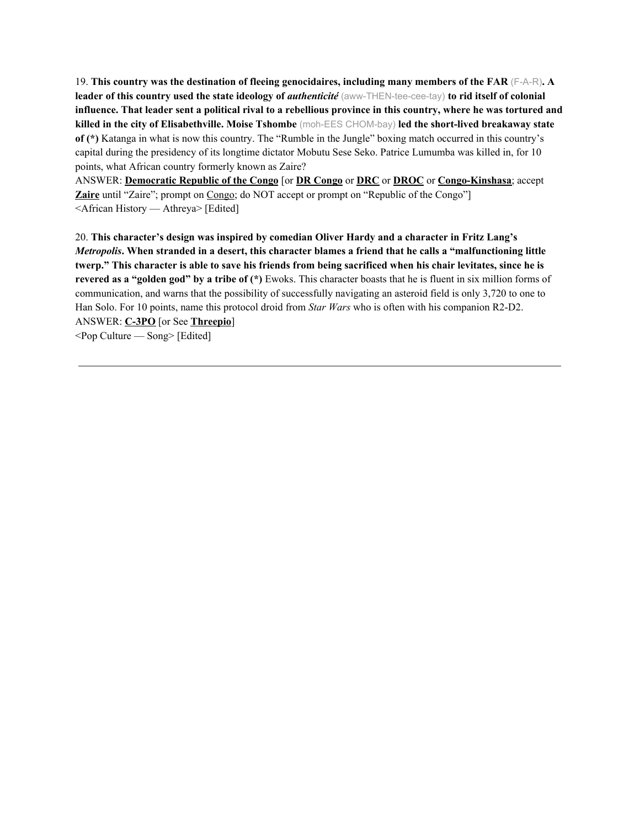19. **This country was the destination of fleeing genocidaires, including many members of the FAR** (F-A-R)**. A leader of this country used the state ideology of** *authenticité* (aww-THEN-tee-cee-tay) **to rid itself of colonial** influence. That leader sent a political rival to a rebellious province in this country, where he was tortured and **killed in the city of Elisabethville. Moise Tshombe** (moh-EES CHOM-bay) **led the short-lived breakaway state of (\*)** Katanga in what is now this country. The "Rumble in the Jungle" boxing match occurred in this country's capital during the presidency of its longtime dictator Mobutu Sese Seko. Patrice Lumumba was killed in, for 10 points, what African country formerly known as Zaire?

ANSWER: **Democratic Republic of the Congo** [or **DR Congo** or **DRC** or **DROC** or **Congo-Kinshasa**; accept **Zaire** until "Zaire"; prompt on Congo; do NOT accept or prompt on "Republic of the Congo"] <African History — Athreya> [Edited]

20. **This character's design was inspired by comedian Oliver Hardy and a character in Fritz Lang's** Metropolis. When stranded in a desert, this character blames a friend that he calls a "malfunctioning little twerp." This character is able to save his friends from being sacrificed when his chair levitates, since he is **revered as a "golden god" by a tribe of (\*)** Ewoks. This character boasts that he is fluent in six million forms of communication, and warns that the possibility of successfully navigating an asteroid field is only 3,720 to one to Han Solo. For 10 points, name this protocol droid from *Star Wars* who is often with his companion R2-D2. ANSWER: **C-3PO** [or See **Threepio**]  $\leq$ Pop Culture — Song> [Edited]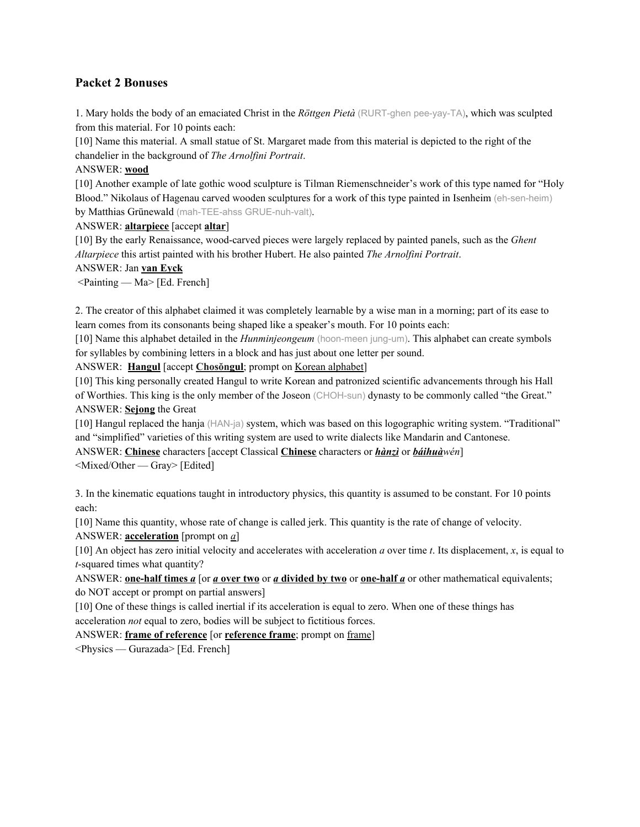## **Packet 2 Bonuses**

1. Mary holds the body of an emaciated Christ in the *Röttgen Pietà* (RURT-ghen pee-yay-TA), which was sculpted from this material. For 10 points each:

[10] Name this material. A small statue of St. Margaret made from this material is depicted to the right of the chandelier in the background of *The Arnolfini Portrait*.

## ANSWER: **wood**

[10] Another example of late gothic wood sculpture is Tilman Riemenschneider's work of this type named for "Holy Blood." Nikolaus of Hagenau carved wooden sculptures for a work of this type painted in Isenheim (eh-sen-heim) by Matthias Grünewald (mah-TEE-ahss GRUE-nuh-valt).

ANSWER: **altarpiece** [accept **altar**]

[10] By the early Renaissance, wood-carved pieces were largely replaced by painted panels, such as the *Ghent Altarpiece* this artist painted with his brother Hubert. He also painted *The Arnolfini Portrait*.

#### ANSWER: Jan **van Eyck**

 $\leq$ Painting — Ma $>$  [Ed. French]

2. The creator of this alphabet claimed it was completely learnable by a wise man in a morning; part of its ease to learn comes from its consonants being shaped like a speaker's mouth. For 10 points each:

[10] Name this alphabet detailed in the *Hunminjeongeum* (hoon-meen jung-um). This alphabet can create symbols for syllables by combining letters in a block and has just about one letter per sound.

ANSWER: **Hangul** [accept **Chosŏngul**; prompt on Korean alphabet]

[10] This king personally created Hangul to write Korean and patronized scientific advancements through his Hall of Worthies. This king is the only member of the Joseon (CHOH-sun) dynasty to be commonly called "the Great." ANSWER: **Sejong** the Great

[10] Hangul replaced the hanja (HAN-ja) system, which was based on this logographic writing system. "Traditional" and "simplified" varieties of this writing system are used to write dialects like Mandarin and Cantonese.

ANSWER: **Chinese** characters [accept Classical **Chinese** characters or *hànzì* or *báihuàwén*]

<Mixed/Other — Gray> [Edited]

3. In the kinematic equations taught in introductory physics, this quantity is assumed to be constant. For 10 points each:

[10] Name this quantity, whose rate of change is called jerk. This quantity is the rate of change of velocity.

ANSWER: **acceleration** [prompt on *a*]

[10] An object has zero initial velocity and accelerates with acceleration *a* over time *t*. Its displacement, *x*, is equal to *t*-squared times what quantity?

ANSWER: **<u>one-half times** *a* [or *a* **over two** or *a* **divided** by two or **<u>one-half** *a*</u> or other mathematical equivalents;</u> do NOT accept or prompt on partial answers]

[10] One of these things is called inertial if its acceleration is equal to zero. When one of these things has acceleration *not* equal to zero, bodies will be subject to fictitious forces.

ANSWER: **frame of reference** [or **reference frame**; prompt on frame]

<Physics — Gurazada> [Ed. French]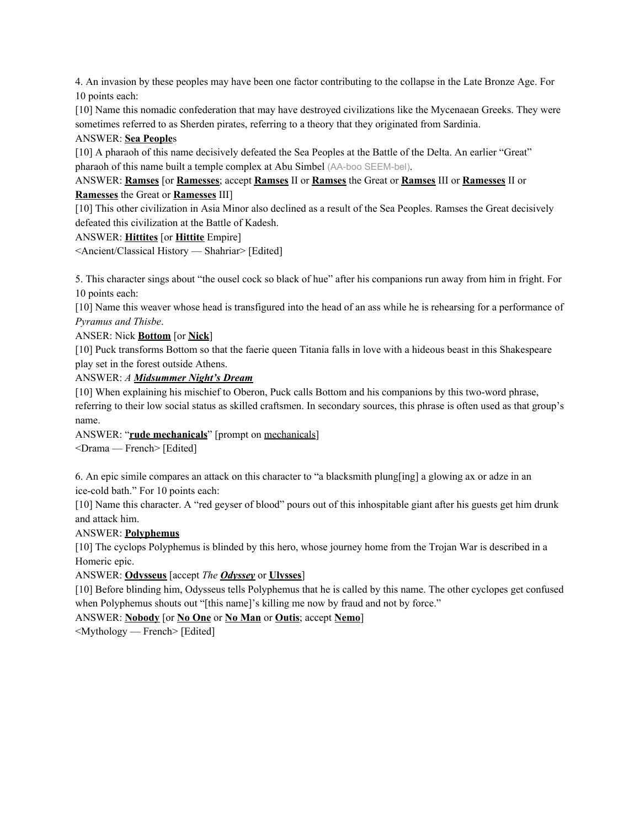4. An invasion by these peoples may have been one factor contributing to the collapse in the Late Bronze Age. For 10 points each:

[10] Name this nomadic confederation that may have destroyed civilizations like the Mycenaean Greeks. They were sometimes referred to as Sherden pirates, referring to a theory that they originated from Sardinia.

## ANSWER: **Sea People**s

[10] A pharaoh of this name decisively defeated the Sea Peoples at the Battle of the Delta. An earlier "Great" pharaoh of this name built a temple complex at Abu Simbel (AA-boo SEEM-bel).

## ANSWER: **Ramses** [or **Ramesses**; accept **Ramses** II or **Ramses** the Great or **Ramses** III or **Ramesses** II or **Ramesses** the Great or **Ramesses** III]

[10] This other civilization in Asia Minor also declined as a result of the Sea Peoples. Ramses the Great decisively defeated this civilization at the Battle of Kadesh.

#### ANSWER: **Hittites** [or **Hittite** Empire]

<Ancient/Classical History — Shahriar> [Edited]

5. This character sings about "the ousel cock so black of hue" after his companions run away from him in fright. For 10 points each:

[10] Name this weaver whose head is transfigured into the head of an ass while he is rehearsing for a performance of *Pyramus and Thisbe*.

#### ANSER: Nick **Bottom** [or **Nick**]

[10] Puck transforms Bottom so that the faerie queen Titania falls in love with a hideous beast in this Shakespeare play set in the forest outside Athens.

ANSWER: *A Midsummer Night's Dream*

[10] When explaining his mischief to Oberon, Puck calls Bottom and his companions by this two-word phrase, referring to their low social status as skilled craftsmen. In secondary sources, this phrase is often used as that group's name.

ANSWER: "**rude mechanicals**" [prompt on mechanicals]

<Drama — French> [Edited]

6. An epic simile compares an attack on this character to "a blacksmith plung[ing] a glowing ax or adze in an ice-cold bath." For 10 points each:

[10] Name this character. A "red geyser of blood" pours out of this inhospitable giant after his guests get him drunk and attack him.

## ANSWER: **Polyphemus**

[10] The cyclops Polyphemus is blinded by this hero, whose journey home from the Trojan War is described in a Homeric epic.

ANSWER: **Odysseus** [accept *The Odyssey* or **Ulysses**]

[10] Before blinding him, Odysseus tells Polyphemus that he is called by this name. The other cyclopes get confused when Polyphemus shouts out "[this name]'s killing me now by fraud and not by force."

ANSWER: **Nobody** [or **No One** or **No Man** or **Outis**; accept **Nemo**]

<Mythology — French> [Edited]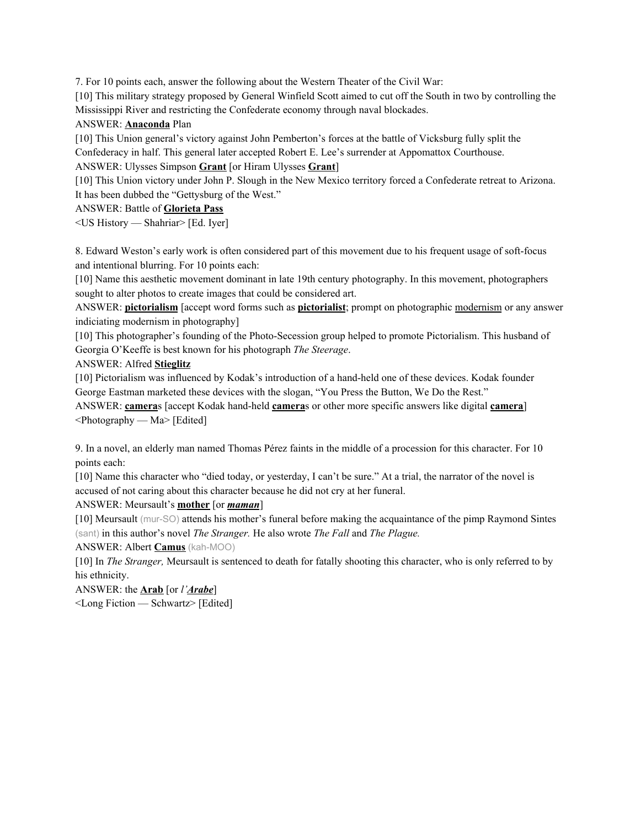7. For 10 points each, answer the following about the Western Theater of the Civil War:

[10] This military strategy proposed by General Winfield Scott aimed to cut off the South in two by controlling the Mississippi River and restricting the Confederate economy through naval blockades.

## ANSWER: **Anaconda** Plan

[10] This Union general's victory against John Pemberton's forces at the battle of Vicksburg fully split the Confederacy in half. This general later accepted Robert E. Lee's surrender at Appomattox Courthouse.

ANSWER: Ulysses Simpson **Grant** [or Hiram Ulysses **Grant**]

[10] This Union victory under John P. Slough in the New Mexico territory forced a Confederate retreat to Arizona. It has been dubbed the "Gettysburg of the West."

ANSWER: Battle of **Glorieta Pass**

<US History — Shahriar> [Ed. Iyer]

8. Edward Weston's early work is often considered part of this movement due to his frequent usage of soft-focus and intentional blurring. For 10 points each:

[10] Name this aesthetic movement dominant in late 19th century photography. In this movement, photographers sought to alter photos to create images that could be considered art.

ANSWER: **pictorialism** [accept word forms such as **pictorialist**; prompt on photographic modernism or any answer indiciating modernism in photography]

[10] This photographer's founding of the Photo-Secession group helped to promote Pictorialism. This husband of Georgia O'Keeffe is best known for his photograph *The Steerage*.

ANSWER: Alfred **Stieglitz**

[10] Pictorialism was influenced by Kodak's introduction of a hand-held one of these devices. Kodak founder George Eastman marketed these devices with the slogan, "You Press the Button, We Do the Rest."

ANSWER: **camera**s [accept Kodak hand-held **camera**s or other more specific answers like digital **camera**]  $\leq$ Photography — Ma $>$ [Edited]

9. In a novel, an elderly man named Thomas Pérez faints in the middle of a procession for this character. For 10 points each:

[10] Name this character who "died today, or yesterday, I can't be sure." At a trial, the narrator of the novel is accused of not caring about this character because he did not cry at her funeral.

ANSWER: Meursault's **mother** [or *maman*]

[10] Meursault (mur-SO) attends his mother's funeral before making the acquaintance of the pimp Raymond Sintes (sant) in this author's novel *The Stranger.* He also wrote *The Fall* and *The Plague.*

ANSWER: Albert **Camus** (kah-MOO)

[10] In *The Stranger,* Meursault is sentenced to death for fatally shooting this character, who is only referred to by his ethnicity.

ANSWER: the **Arab** [or *l'Arabe*]

<Long Fiction — Schwartz> [Edited]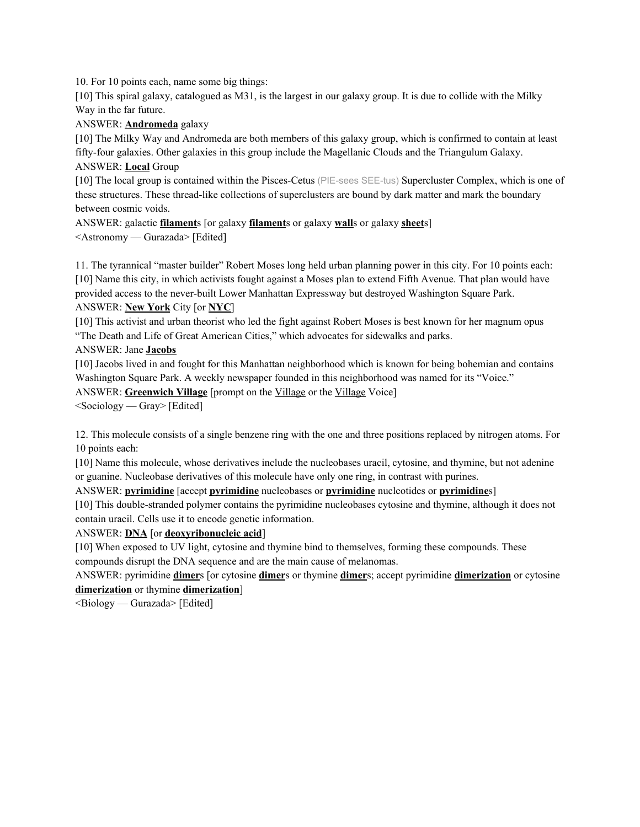10. For 10 points each, name some big things:

[10] This spiral galaxy, catalogued as M31, is the largest in our galaxy group. It is due to collide with the Milky Way in the far future.

ANSWER: **Andromeda** galaxy

[10] The Milky Way and Andromeda are both members of this galaxy group, which is confirmed to contain at least fifty-four galaxies. Other galaxies in this group include the Magellanic Clouds and the Triangulum Galaxy. ANSWER: **Local** Group

[10] The local group is contained within the Pisces-Cetus (PIE-sees SEE-tus) Supercluster Complex, which is one of these structures. These thread-like collections of superclusters are bound by dark matter and mark the boundary between cosmic voids.

ANSWER: galactic **filament**s [or galaxy **filament**s or galaxy **wall**s or galaxy **sheet**s] <Astronomy — Gurazada> [Edited]

11. The tyrannical "master builder" Robert Moses long held urban planning power in this city. For 10 points each: [10] Name this city, in which activists fought against a Moses plan to extend Fifth Avenue. That plan would have provided access to the never-built Lower Manhattan Expressway but destroyed Washington Square Park. ANSWER: **New York** City [or **NYC**]

[10] This activist and urban theorist who led the fight against Robert Moses is best known for her magnum opus

"The Death and Life of Great American Cities," which advocates for sidewalks and parks.

ANSWER: Jane **Jacobs**

[10] Jacobs lived in and fought for this Manhattan neighborhood which is known for being bohemian and contains Washington Square Park. A weekly newspaper founded in this neighborhood was named for its "Voice."

ANSWER: **Greenwich Village** [prompt on the Village or the Village Voice]

 $\leq$ Sociology — Gray> [Edited]

12. This molecule consists of a single benzene ring with the one and three positions replaced by nitrogen atoms. For 10 points each:

[10] Name this molecule, whose derivatives include the nucleobases uracil, cytosine, and thymine, but not adenine or guanine. Nucleobase derivatives of this molecule have only one ring, in contrast with purines.

ANSWER: **pyrimidine** [accept **pyrimidine** nucleobases or **pyrimidine** nucleotides or **pyrimidine**s]

[10] This double-stranded polymer contains the pyrimidine nucleobases cytosine and thymine, although it does not contain uracil. Cells use it to encode genetic information.

ANSWER: **DNA** [or **deoxyribonucleic acid**]

[10] When exposed to UV light, cytosine and thymine bind to themselves, forming these compounds. These compounds disrupt the DNA sequence and are the main cause of melanomas.

ANSWER: pyrimidine **dimer**s [or cytosine **dimer**s or thymine **dimer**s; accept pyrimidine **dimerization** or cytosine **dimerization** or thymine **dimerization**]

 $\leq$ Biology — Gurazada> [Edited]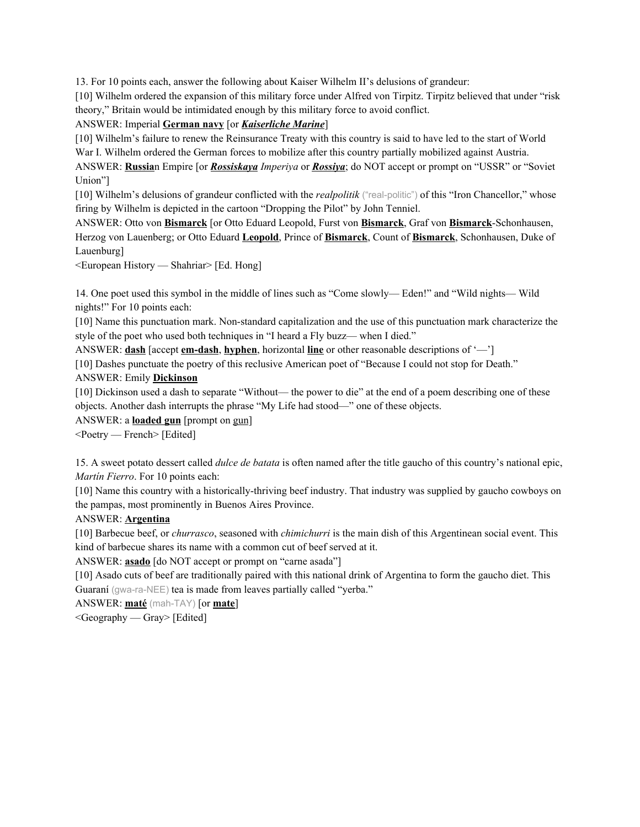13. For 10 points each, answer the following about Kaiser Wilhelm II's delusions of grandeur:

[10] Wilhelm ordered the expansion of this military force under Alfred von Tirpitz. Tirpitz believed that under "risk theory," Britain would be intimidated enough by this military force to avoid conflict.

ANSWER: Imperial **German navy** [or *Kaiserliche Marine*]

[10] Wilhelm's failure to renew the Reinsurance Treaty with this country is said to have led to the start of World War I. Wilhelm ordered the German forces to mobilize after this country partially mobilized against Austria.

ANSWER: **Russia**n Empire [or *Rossiskaya Imperiya* or *Rossiya*; do NOT accept or prompt on "USSR" or "Soviet Union"]

[10] Wilhelm's delusions of grandeur conflicted with the *realpolitik* ("real-politic") of this "Iron Chancellor," whose firing by Wilhelm is depicted in the cartoon "Dropping the Pilot" by John Tenniel.

ANSWER: Otto von **Bismarck** [or Otto Eduard Leopold, Furst von **Bismarck**, Graf von **Bismarck**-Schonhausen, Herzog von Lauenberg; or Otto Eduard **Leopold**, Prince of **Bismarck**, Count of **Bismarck**, Schonhausen, Duke of Lauenburg]

<European History — Shahriar> [Ed. Hong]

14. One poet used this symbol in the middle of lines such as "Come slowly— Eden!" and "Wild nights— Wild nights!" For 10 points each:

[10] Name this punctuation mark. Non-standard capitalization and the use of this punctuation mark characterize the style of the poet who used both techniques in "I heard a Fly buzz— when I died."

ANSWER: **dash** [accept **em-dash**, **hyphen**, horizontal **line** or other reasonable descriptions of '—']

[10] Dashes punctuate the poetry of this reclusive American poet of "Because I could not stop for Death."

ANSWER: Emily **Dickinson**

[10] Dickinson used a dash to separate "Without— the power to die" at the end of a poem describing one of these objects. Another dash interrupts the phrase "My Life had stood—" one of these objects.

ANSWER: a **loaded gun** [prompt on gun]

<Poetry — French> [Edited]

15. A sweet potato dessert called *dulce de batata* is often named after the title gaucho of this country's national epic, *Martín Fierro*. For 10 points each:

[10] Name this country with a historically-thriving beef industry. That industry was supplied by gaucho cowboys on the pampas, most prominently in Buenos Aires Province.

## ANSWER: **Argentina**

[10] Barbecue beef, or *churrasco*, seasoned with *chimichurri* is the main dish of this Argentinean social event. This kind of barbecue shares its name with a common cut of beef served at it.

ANSWER: **asado** [do NOT accept or prompt on "carne asada"]

[10] Asado cuts of beef are traditionally paired with this national drink of Argentina to form the gaucho diet. This Guaraní (gwa-ra-NEE) tea is made from leaves partially called "yerba."

ANSWER: **maté** (mah-TAY) [or **mate**]

<Geography — Gray> [Edited]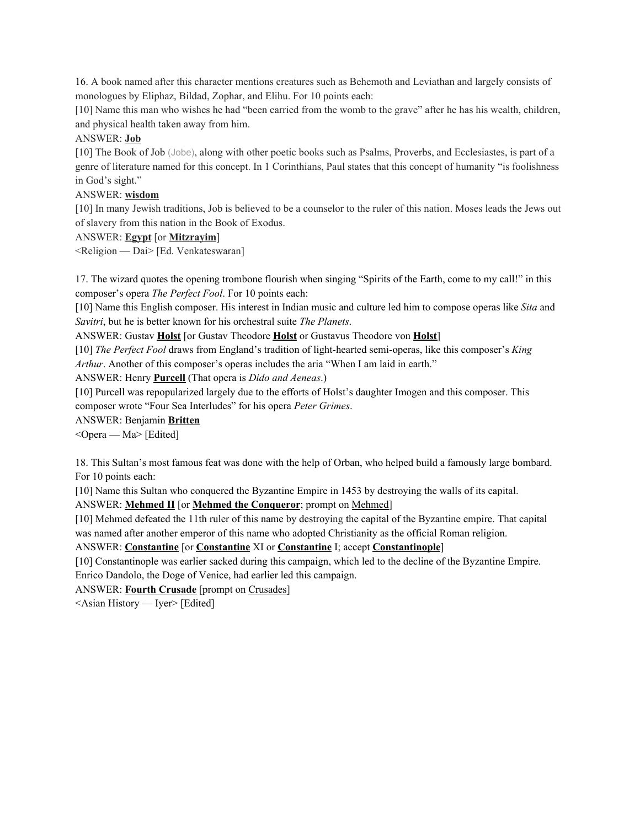16. A book named after this character mentions creatures such as Behemoth and Leviathan and largely consists of monologues by Eliphaz, Bildad, Zophar, and Elihu. For 10 points each:

[10] Name this man who wishes he had "been carried from the womb to the grave" after he has his wealth, children, and physical health taken away from him.

#### ANSWER: **Job**

[10] The Book of Job (Jobe), along with other poetic books such as Psalms, Proverbs, and Ecclesiastes, is part of a genre of literature named for this concept. In 1 Corinthians, Paul states that this concept of humanity "is foolishness in God's sight."

#### ANSWER: **wisdom**

[10] In many Jewish traditions, Job is believed to be a counselor to the ruler of this nation. Moses leads the Jews out of slavery from this nation in the Book of Exodus.

## ANSWER: **Egypt** [or **Mitzrayim**]

<Religion — Dai> [Ed. Venkateswaran]

17. The wizard quotes the opening trombone flourish when singing "Spirits of the Earth, come to my call!" in this composer's opera *The Perfect Fool*. For 10 points each:

[10] Name this English composer. His interest in Indian music and culture led him to compose operas like *Sita* and *Savitri*, but he is better known for his orchestral suite *The Planets*.

ANSWER: Gustav **Holst** [or Gustav Theodore **Holst** or Gustavus Theodore von **Holst**]

[10] *The Perfect Fool* draws from England's tradition of light-hearted semi-operas, like this composer's *King Arthur*. Another of this composer's operas includes the aria "When I am laid in earth."

ANSWER: Henry **Purcell** (That opera is *Dido and Aeneas*.)

[10] Purcell was repopularized largely due to the efforts of Holst's daughter Imogen and this composer. This composer wrote "Four Sea Interludes" for his opera *Peter Grimes*.

#### ANSWER: Benjamin **Britten**

<Opera — Ma> [Edited]

18. This Sultan's most famous feat was done with the help of Orban, who helped build a famously large bombard. For 10 points each:

[10] Name this Sultan who conquered the Byzantine Empire in 1453 by destroying the walls of its capital.

ANSWER: **Mehmed II** [or **Mehmed the Conqueror**; prompt on Mehmed]

[10] Mehmed defeated the 11th ruler of this name by destroying the capital of the Byzantine empire. That capital was named after another emperor of this name who adopted Christianity as the official Roman religion.

ANSWER: **Constantine** [or **Constantine** XI or **Constantine** I; accept **Constantinople**]

[10] Constantinople was earlier sacked during this campaign, which led to the decline of the Byzantine Empire. Enrico Dandolo, the Doge of Venice, had earlier led this campaign.

ANSWER: **Fourth Crusade** [prompt on Crusades]

<Asian History — Iyer> [Edited]